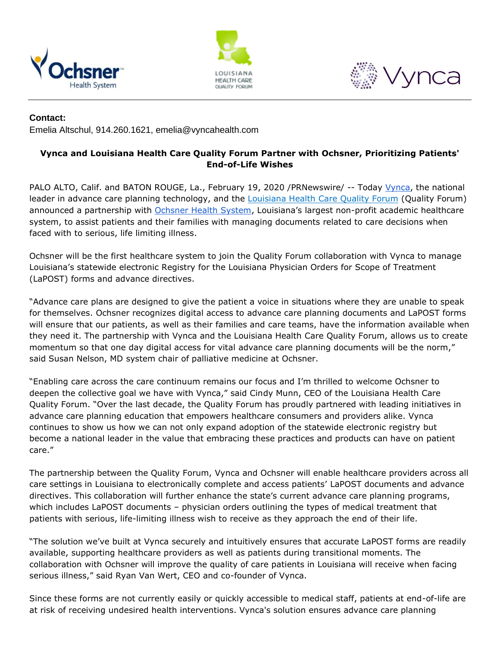





## **Contact:**

Emelia Altschul, 914.260.1621, emelia@vyncahealth.com

# **Vynca and Louisiana Health Care Quality Forum Partner with Ochsner, Prioritizing Patients' End-of-Life Wishes**

PALO ALTO, Calif. and BATON ROUGE, La., February 19, 2020 /PRNewswire/ -- Today [Vynca,](https://vyncahealth.com/) the national leader in advance care planning technology, and the [Louisiana Health Care Quality Forum](http://www.lhcqf.org/) (Quality Forum) announced a partnership with [Ochsner Health System](https://www.ochsner.org/), Louisiana's largest non-profit academic healthcare system, to assist patients and their families with managing documents related to care decisions when faced with to serious, life limiting illness.

Ochsner will be the first healthcare system to join the Quality Forum collaboration with Vynca to manage Louisiana's statewide electronic Registry for the Louisiana Physician Orders for Scope of Treatment (LaPOST) forms and advance directives.

"Advance care plans are designed to give the patient a voice in situations where they are unable to speak for themselves. Ochsner recognizes digital access to advance care planning documents and LaPOST forms will ensure that our patients, as well as their families and care teams, have the information available when they need it. The partnership with Vynca and the Louisiana Health Care Quality Forum, allows us to create momentum so that one day digital access for vital advance care planning documents will be the norm," said Susan Nelson, MD system chair of palliative medicine at Ochsner.

"Enabling care across the care continuum remains our focus and I'm thrilled to welcome Ochsner to deepen the collective goal we have with Vynca," said Cindy Munn, CEO of the Louisiana Health Care Quality Forum. "Over the last decade, the Quality Forum has proudly partnered with leading initiatives in advance care planning education that empowers healthcare consumers and providers alike. Vynca continues to show us how we can not only expand adoption of the statewide electronic registry but become a national leader in the value that embracing these practices and products can have on patient care."

The partnership between the Quality Forum, Vynca and Ochsner will enable healthcare providers across all care settings in Louisiana to electronically complete and access patients' LaPOST documents and advance directives. This collaboration will further enhance the state's current advance care planning programs, which includes LaPOST documents - physician orders outlining the types of medical treatment that patients with serious, life-limiting illness wish to receive as they approach the end of their life.

"The solution we've built at Vynca securely and intuitively ensures that accurate LaPOST forms are readily available, supporting healthcare providers as well as patients during transitional moments. The collaboration with Ochsner will improve the quality of care patients in Louisiana will receive when facing serious illness," said Ryan Van Wert, CEO and co-founder of Vynca.

Since these forms are not currently easily or quickly accessible to medical staff, patients at end-of-life are at risk of receiving undesired health interventions. Vynca's solution ensures advance care planning